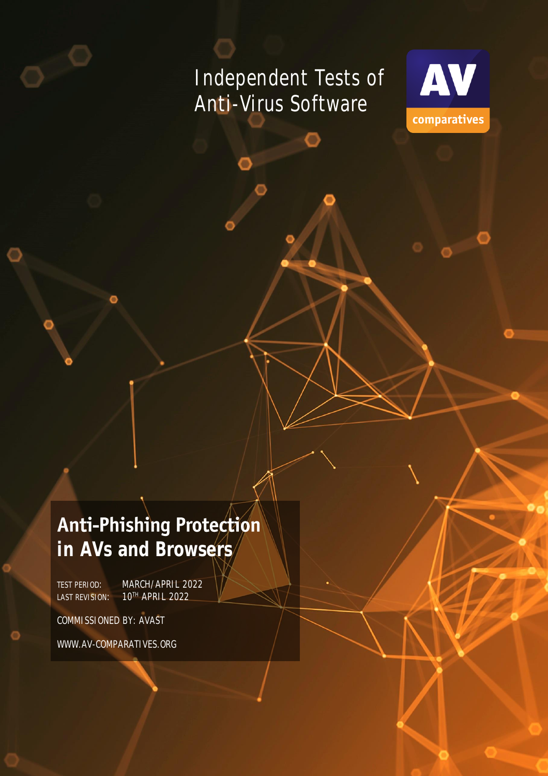# Independent Tests of Anti-Virus Software



# **Anti-Phishing Protection in AVs and Browsers**

TEST PERIOD: MARCH/APRIL 2022<br>LAST REVISION: 10TH APRIL 2022 **10TH APRIL 2022** 

COMMISSIONED BY: AVAST

WWW.AV-COMPARATIVES.ORG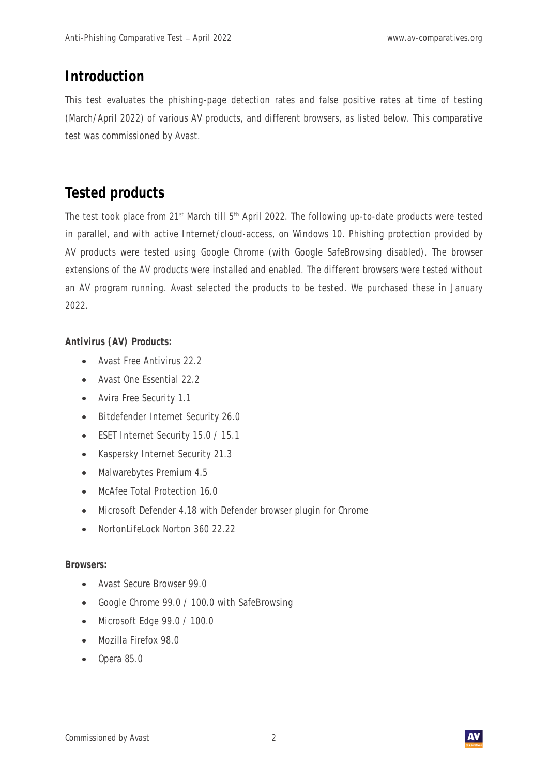### **Introduction**

This test evaluates the phishing-page detection rates and false positive rates at time of testing (March/April 2022) of various AV products, and different browsers, as listed below. This comparative test was commissioned by Avast.

### **Tested products**

The test took place from 21<sup>st</sup> March till 5<sup>th</sup> April 2022. The following up-to-date products were tested in parallel, and with active Internet/cloud-access, on Windows 10. Phishing protection provided by AV products were tested using Google Chrome (with Google SafeBrowsing disabled). The browser extensions of the AV products were installed and enabled. The different browsers were tested without an AV program running. Avast selected the products to be tested. We purchased these in January 2022.

**Antivirus (AV) Products:**

- Avast Free Antivirus 22.2
- Avast One Essential 22.2
- Avira Free Security 1.1
- Bitdefender Internet Security 26.0
- ESET Internet Security 15.0 / 15.1
- Kaspersky Internet Security 21.3
- Malwarebytes Premium 4.5
- McAfee Total Protection 16.0
- Microsoft Defender 4.18 with Defender browser plugin for Chrome
- NortonLifeLock Norton 360 22.22

### **Browsers:**

- Avast Secure Browser 99.0
- Google Chrome 99.0 / 100.0 with SafeBrowsing
- Microsoft Edge 99.0 / 100.0
- Mozilla Firefox 98.0
- Opera 85.0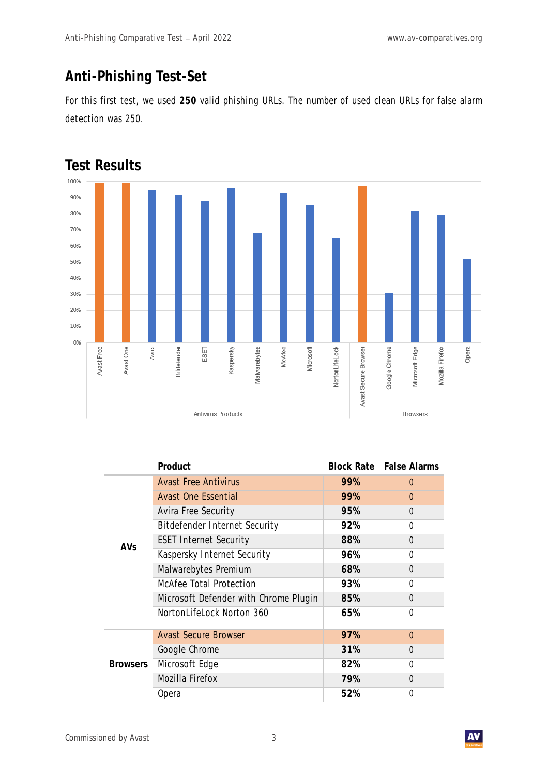## **Anti-Phishing Test-Set**

For this first test, we used **250** valid phishing URLs. The number of used clean URLs for false alarm detection was 250.



|                 | Product                               |     | Block Rate False Alarms |
|-----------------|---------------------------------------|-----|-------------------------|
| AVs             | <b>Avast Free Antivirus</b>           | 99% | $\Omega$                |
|                 | <b>Avast One Essential</b>            | 99% | $\Omega$                |
|                 | Avira Free Security                   | 95% | $\Omega$                |
|                 | Bitdefender Internet Security         | 92% | 0                       |
|                 | <b>ESET Internet Security</b>         | 88% | $\Omega$                |
|                 | Kaspersky Internet Security           | 96% | $\Omega$                |
|                 | Malwarebytes Premium                  | 68% | $\Omega$                |
|                 | McAfee Total Protection               | 93% | $\Omega$                |
|                 | Microsoft Defender with Chrome Plugin | 85% | $\Omega$                |
|                 | NortonLifeLock Norton 360             | 65% | 0                       |
|                 |                                       |     |                         |
| <b>Browsers</b> | <b>Avast Secure Browser</b>           | 97% | $\Omega$                |
|                 | Google Chrome                         | 31% | $\Omega$                |
|                 | Microsoft Edge                        | 82% | $\Omega$                |
|                 | Mozilla Firefox                       | 79% | $\Omega$                |
|                 | Opera                                 | 52% | 0                       |